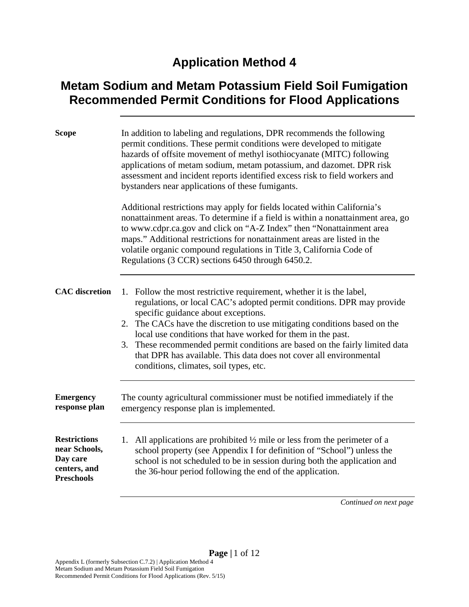## **Application Method 4**

## **Metam Sodium and Metam Potassium Field Soil Fumigation Recommended Permit Conditions for Flood Applications**

| <b>Scope</b>                                                                          | In addition to labeling and regulations, DPR recommends the following<br>permit conditions. These permit conditions were developed to mitigate<br>hazards of offsite movement of methyl isothiocyanate (MITC) following<br>applications of metam sodium, metam potassium, and dazomet. DPR risk<br>assessment and incident reports identified excess risk to field workers and<br>bystanders near applications of these fumigants.                                                                                               |
|---------------------------------------------------------------------------------------|----------------------------------------------------------------------------------------------------------------------------------------------------------------------------------------------------------------------------------------------------------------------------------------------------------------------------------------------------------------------------------------------------------------------------------------------------------------------------------------------------------------------------------|
|                                                                                       | Additional restrictions may apply for fields located within California's<br>nonattainment areas. To determine if a field is within a nonattainment area, go<br>to www.cdpr.ca.gov and click on "A-Z Index" then "Nonattainment area<br>maps." Additional restrictions for nonattainment areas are listed in the<br>volatile organic compound regulations in Title 3, California Code of<br>Regulations (3 CCR) sections 6450 through 6450.2.                                                                                     |
| <b>CAC</b> discretion                                                                 | 1. Follow the most restrictive requirement, whether it is the label,<br>regulations, or local CAC's adopted permit conditions. DPR may provide<br>specific guidance about exceptions.<br>2. The CACs have the discretion to use mitigating conditions based on the<br>local use conditions that have worked for them in the past.<br>3. These recommended permit conditions are based on the fairly limited data<br>that DPR has available. This data does not cover all environmental<br>conditions, climates, soil types, etc. |
| <b>Emergency</b><br>response plan                                                     | The county agricultural commissioner must be notified immediately if the<br>emergency response plan is implemented.                                                                                                                                                                                                                                                                                                                                                                                                              |
| <b>Restrictions</b><br>near Schools,<br>Day care<br>centers, and<br><b>Preschools</b> | 1. All applications are prohibited $\frac{1}{2}$ mile or less from the perimeter of a<br>school property (see Appendix I for definition of "School") unless the<br>school is not scheduled to be in session during both the application and<br>the 36-hour period following the end of the application.                                                                                                                                                                                                                          |
|                                                                                       |                                                                                                                                                                                                                                                                                                                                                                                                                                                                                                                                  |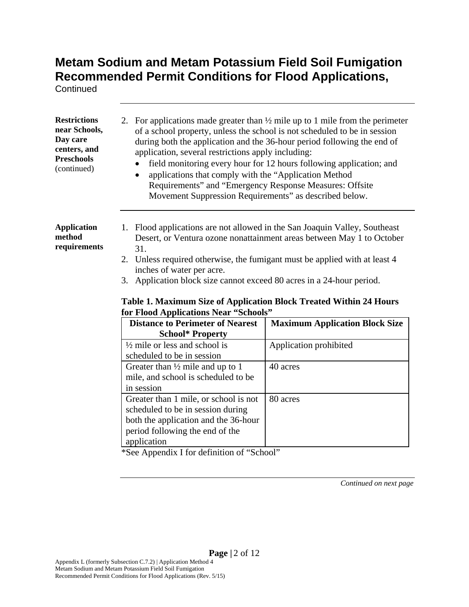**Continued** 

| <b>Restrictions</b><br>near Schools,<br>Day care<br>centers, and<br><b>Preschools</b><br>(continued) | For applications made greater than $\frac{1}{2}$ mile up to 1 mile from the perimeter<br>2.<br>of a school property, unless the school is not scheduled to be in session<br>during both the application and the 36-hour period following the end of<br>application, several restrictions apply including:<br>field monitoring every hour for 12 hours following application; and<br>applications that comply with the "Application Method<br>Requirements" and "Emergency Response Measures: Offsite<br>Movement Suppression Requirements" as described below. |                                                                       |
|------------------------------------------------------------------------------------------------------|----------------------------------------------------------------------------------------------------------------------------------------------------------------------------------------------------------------------------------------------------------------------------------------------------------------------------------------------------------------------------------------------------------------------------------------------------------------------------------------------------------------------------------------------------------------|-----------------------------------------------------------------------|
| <b>Application</b><br>method<br>requirements                                                         | 1. Flood applications are not allowed in the San Joaquin Valley, Southeast<br>31.<br>2. Unless required otherwise, the fumigant must be applied with at least 4<br>inches of water per acre.<br>Application block size cannot exceed 80 acres in a 24-hour period.<br>3.<br>Table 1. Maximum Size of Application Block Treated Within 24 Hours<br>for Flood Applications Near "Schools"                                                                                                                                                                        | Desert, or Ventura ozone nonattainment areas between May 1 to October |
|                                                                                                      | <b>Distance to Perimeter of Nearest</b>                                                                                                                                                                                                                                                                                                                                                                                                                                                                                                                        | <b>Maximum Application Block Size</b>                                 |
|                                                                                                      | <b>School* Property</b>                                                                                                                                                                                                                                                                                                                                                                                                                                                                                                                                        |                                                                       |
|                                                                                                      | $\frac{1}{2}$ mile or less and school is<br>scheduled to be in session                                                                                                                                                                                                                                                                                                                                                                                                                                                                                         | Application prohibited                                                |
|                                                                                                      | Greater than $\frac{1}{2}$ mile and up to 1<br>mile, and school is scheduled to be<br>in session                                                                                                                                                                                                                                                                                                                                                                                                                                                               | 40 acres                                                              |
|                                                                                                      | Greater than 1 mile, or school is not<br>scheduled to be in session during<br>both the application and the 36-hour<br>period following the end of the                                                                                                                                                                                                                                                                                                                                                                                                          | 80 acres                                                              |

\*See Appendix I for definition of "School" application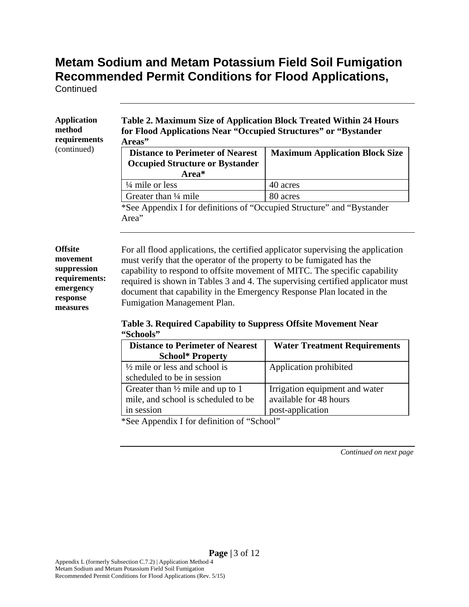**Continued** 

| <b>Application</b><br>method<br>requirements | Table 2. Maximum Size of Application Block Treated Within 24 Hours<br>for Flood Applications Near "Occupied Structures" or "Bystander<br>Areas" |                                       |
|----------------------------------------------|-------------------------------------------------------------------------------------------------------------------------------------------------|---------------------------------------|
| (continued)                                  | <b>Distance to Perimeter of Nearest</b><br><b>Occupied Structure or Bystander</b><br>Area*                                                      | <b>Maximum Application Block Size</b> |
|                                              | $\frac{1}{4}$ mile or less                                                                                                                      | 40 acres                              |
|                                              | Greater than $\frac{1}{4}$ mile                                                                                                                 | 80 acres                              |
|                                              | *See Appendix I for definitions of "Occupied Structure" and "Bystander"<br>Area"                                                                |                                       |

### **Offsite movement suppression requirements: emergency response measures**

For all flood applications, the certified applicator supervising the application must verify that the operator of the property to be fumigated has the capability to respond to offsite movement of MITC. The specific capability required is shown in Tables 3 and 4. The supervising certified applicator must document that capability in the Emergency Response Plan located in the Fumigation Management Plan.

### **Table 3. Required Capability to Suppress Offsite Movement Near "Schools"**

| <b>Distance to Perimeter of Nearest</b><br><b>School* Property</b>                               | <b>Water Treatment Requirements</b>                                          |
|--------------------------------------------------------------------------------------------------|------------------------------------------------------------------------------|
| $\frac{1}{2}$ mile or less and school is<br>scheduled to be in session                           | Application prohibited                                                       |
| Greater than $\frac{1}{2}$ mile and up to 1<br>mile, and school is scheduled to be<br>in session | Irrigation equipment and water<br>available for 48 hours<br>post-application |

\*See Appendix I for definition of "School"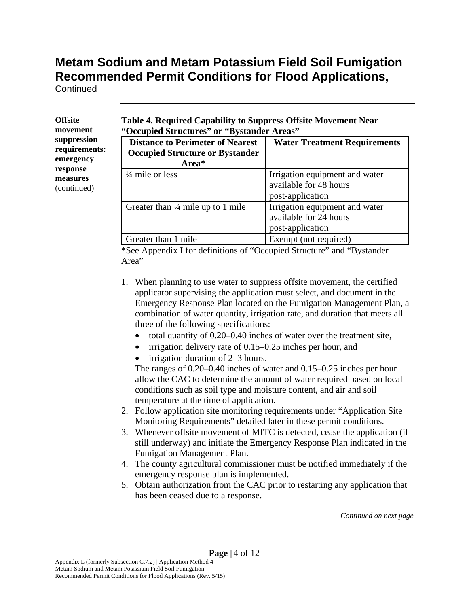**Continued** 

| <b>Offsite</b> |
|----------------|
| movement       |
| suppression    |
| requirements:  |
| emergency      |
| response       |
| measures       |
| (continued)    |
|                |

**Table 4. Required Capability to Suppress Offsite Movement Near "Occupied Structures" or "Bystander Areas"** 

| <b>Distance to Perimeter of Nearest</b><br><b>Occupied Structure or Bystander</b><br>Area* | <b>Water Treatment Requirements</b>                                          |
|--------------------------------------------------------------------------------------------|------------------------------------------------------------------------------|
| $\frac{1}{4}$ mile or less                                                                 | Irrigation equipment and water<br>available for 48 hours<br>post-application |
| Greater than $\frac{1}{4}$ mile up to 1 mile                                               | Irrigation equipment and water<br>available for 24 hours<br>post-application |
| Greater than 1 mile                                                                        | Exempt (not required)                                                        |

\*See Appendix I for definitions of "Occupied Structure" and "Bystander Area"

- 1. When planning to use water to suppress offsite movement, the certified applicator supervising the application must select, and document in the Emergency Response Plan located on the Fumigation Management Plan, a combination of water quantity, irrigation rate, and duration that meets all three of the following specifications:
	- total quantity of 0.20–0.40 inches of water over the treatment site,
	- $\bullet$  irrigation delivery rate of 0.15–0.25 inches per hour, and
	- irrigation duration of 2–3 hours.

The ranges of 0.20–0.40 inches of water and 0.15–0.25 inches per hour allow the CAC to determine the amount of water required based on local conditions such as soil type and moisture content, and air and soil temperature at the time of application.

- 2. Follow application site monitoring requirements under "Application Site Monitoring Requirements" detailed later in these permit conditions.
- 3. Whenever offsite movement of MITC is detected, cease the application (if still underway) and initiate the Emergency Response Plan indicated in the Fumigation Management Plan.
- 4. The county agricultural commissioner must be notified immediately if the emergency response plan is implemented.
- 5. Obtain authorization from the CAC prior to restarting any application that has been ceased due to a response.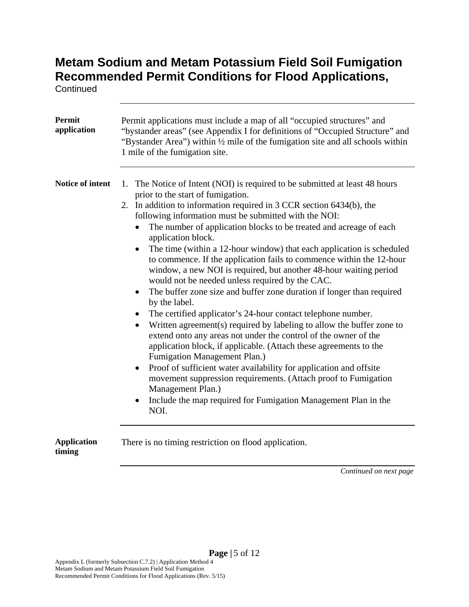**Continued** 

| <b>Permit</b><br>application | Permit applications must include a map of all "occupied structures" and<br>"bystander areas" (see Appendix I for definitions of "Occupied Structure" and<br>"Bystander Area") within 1/2 mile of the fumigation site and all schools within<br>1 mile of the fumigation site.                                                                                                                                                                                                                                                                                                                                                                                                                                                                                                                                                                                                                                                                                                                                                                                                                                                                                                                                                                                                                                     |
|------------------------------|-------------------------------------------------------------------------------------------------------------------------------------------------------------------------------------------------------------------------------------------------------------------------------------------------------------------------------------------------------------------------------------------------------------------------------------------------------------------------------------------------------------------------------------------------------------------------------------------------------------------------------------------------------------------------------------------------------------------------------------------------------------------------------------------------------------------------------------------------------------------------------------------------------------------------------------------------------------------------------------------------------------------------------------------------------------------------------------------------------------------------------------------------------------------------------------------------------------------------------------------------------------------------------------------------------------------|
| Notice of intent             | 1. The Notice of Intent (NOI) is required to be submitted at least 48 hours<br>prior to the start of fumigation.<br>2. In addition to information required in 3 CCR section 6434(b), the<br>following information must be submitted with the NOI:<br>The number of application blocks to be treated and acreage of each<br>application block.<br>The time (within a 12-hour window) that each application is scheduled<br>$\bullet$<br>to commence. If the application fails to commence within the 12-hour<br>window, a new NOI is required, but another 48-hour waiting period<br>would not be needed unless required by the CAC.<br>The buffer zone size and buffer zone duration if longer than required<br>$\bullet$<br>by the label.<br>• The certified applicator's 24-hour contact telephone number.<br>Written agreement(s) required by labeling to allow the buffer zone to<br>extend onto any areas not under the control of the owner of the<br>application block, if applicable. (Attach these agreements to the<br>Fumigation Management Plan.)<br>Proof of sufficient water availability for application and offsite<br>$\bullet$<br>movement suppression requirements. (Attach proof to Fumigation<br>Management Plan.)<br>Include the map required for Fumigation Management Plan in the<br>NOI. |
| <b>Application</b><br>timing | There is no timing restriction on flood application.                                                                                                                                                                                                                                                                                                                                                                                                                                                                                                                                                                                                                                                                                                                                                                                                                                                                                                                                                                                                                                                                                                                                                                                                                                                              |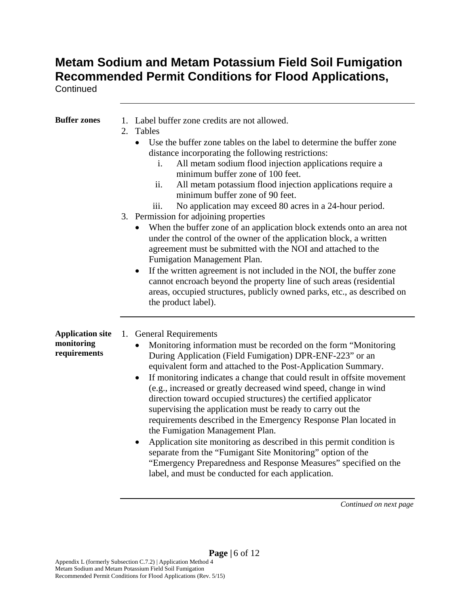**Continued** 

| <b>Buffer zones</b>                                   | 1. Label buffer zone credits are not allowed.<br>2.<br>Tables                                                                                                                                                                                                                                                                                                                                                                                                                                                                                                                                                                                                                                                                                                                                                                                                                                      |
|-------------------------------------------------------|----------------------------------------------------------------------------------------------------------------------------------------------------------------------------------------------------------------------------------------------------------------------------------------------------------------------------------------------------------------------------------------------------------------------------------------------------------------------------------------------------------------------------------------------------------------------------------------------------------------------------------------------------------------------------------------------------------------------------------------------------------------------------------------------------------------------------------------------------------------------------------------------------|
|                                                       | Use the buffer zone tables on the label to determine the buffer zone<br>$\bullet$<br>distance incorporating the following restrictions:<br>All metam sodium flood injection applications require a<br>i.<br>minimum buffer zone of 100 feet.<br>ii.<br>All metam potassium flood injection applications require a<br>minimum buffer zone of 90 feet.<br>No application may exceed 80 acres in a 24-hour period.<br>111.                                                                                                                                                                                                                                                                                                                                                                                                                                                                            |
|                                                       | 3. Permission for adjoining properties<br>When the buffer zone of an application block extends onto an area not<br>under the control of the owner of the application block, a written<br>agreement must be submitted with the NOI and attached to the<br>Fumigation Management Plan.<br>If the written agreement is not included in the NOI, the buffer zone<br>$\bullet$<br>cannot encroach beyond the property line of such areas (residential<br>areas, occupied structures, publicly owned parks, etc., as described on<br>the product label).                                                                                                                                                                                                                                                                                                                                                 |
| <b>Application site</b><br>monitoring<br>requirements | 1.<br><b>General Requirements</b><br>Monitoring information must be recorded on the form "Monitoring<br>During Application (Field Fumigation) DPR-ENF-223" or an<br>equivalent form and attached to the Post-Application Summary.<br>If monitoring indicates a change that could result in offsite movement<br>$\bullet$<br>(e.g., increased or greatly decreased wind speed, change in wind<br>direction toward occupied structures) the certified applicator<br>supervising the application must be ready to carry out the<br>requirements described in the Emergency Response Plan located in<br>the Fumigation Management Plan.<br>Application site monitoring as described in this permit condition is<br>separate from the "Fumigant Site Monitoring" option of the<br>"Emergency Preparedness and Response Measures" specified on the<br>label, and must be conducted for each application. |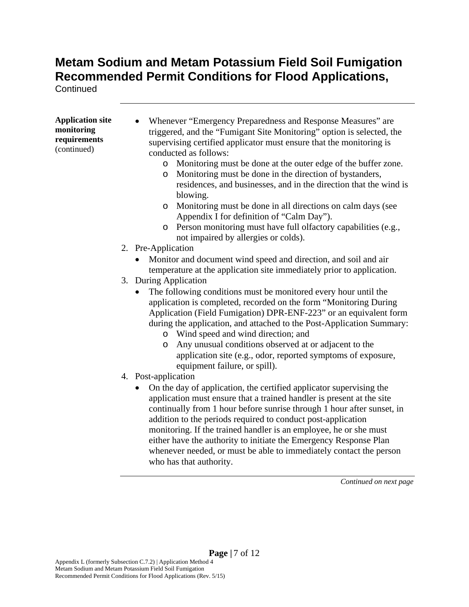**Continued** 

| <b>Application site</b><br>monitoring<br>requirements<br>(continued) | Whenever "Emergency Preparedness and Response Measures" are<br>triggered, and the "Fumigant Site Monitoring" option is selected, the<br>supervising certified applicator must ensure that the monitoring is<br>conducted as follows:<br>o Monitoring must be done at the outer edge of the buffer zone.<br>o Monitoring must be done in the direction of bystanders,<br>residences, and businesses, and in the direction that the wind is<br>blowing.<br>Monitoring must be done in all directions on calm days (see<br>$\circ$<br>Appendix I for definition of "Calm Day").<br>Person monitoring must have full olfactory capabilities (e.g.,<br>$\circ$<br>not impaired by allergies or colds). |
|----------------------------------------------------------------------|---------------------------------------------------------------------------------------------------------------------------------------------------------------------------------------------------------------------------------------------------------------------------------------------------------------------------------------------------------------------------------------------------------------------------------------------------------------------------------------------------------------------------------------------------------------------------------------------------------------------------------------------------------------------------------------------------|
|                                                                      | 2. Pre-Application                                                                                                                                                                                                                                                                                                                                                                                                                                                                                                                                                                                                                                                                                |
|                                                                      | Monitor and document wind speed and direction, and soil and air<br>temperature at the application site immediately prior to application.                                                                                                                                                                                                                                                                                                                                                                                                                                                                                                                                                          |
|                                                                      | 3. During Application                                                                                                                                                                                                                                                                                                                                                                                                                                                                                                                                                                                                                                                                             |
|                                                                      | The following conditions must be monitored every hour until the<br>application is completed, recorded on the form "Monitoring During<br>Application (Field Fumigation) DPR-ENF-223" or an equivalent form<br>during the application, and attached to the Post-Application Summary:<br>o Wind speed and wind direction; and<br>Any unusual conditions observed at or adjacent to the<br>$\circ$<br>application site (e.g., odor, reported symptoms of exposure,<br>equipment failure, or spill).                                                                                                                                                                                                   |
|                                                                      | 4. Post-application                                                                                                                                                                                                                                                                                                                                                                                                                                                                                                                                                                                                                                                                               |
|                                                                      | On the day of application, the certified applicator supervising the<br>$\bullet$<br>application must ensure that a trained handler is present at the site<br>continually from 1 hour before sunrise through 1 hour after sunset, in<br>addition to the periods required to conduct post-application<br>monitoring. If the trained handler is an employee, he or she must<br>either have the authority to initiate the Emergency Response Plan<br>whenever needed, or must be able to immediately contact the person<br>who has that authority.                                                                                                                                                    |
|                                                                      | Continued on next page                                                                                                                                                                                                                                                                                                                                                                                                                                                                                                                                                                                                                                                                            |
|                                                                      |                                                                                                                                                                                                                                                                                                                                                                                                                                                                                                                                                                                                                                                                                                   |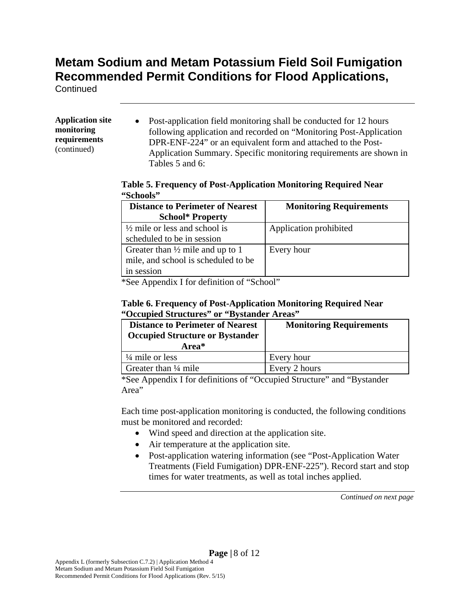**Continued** 

#### **Application site monitoring requirements**  (continued)

• Post-application field monitoring shall be conducted for 12 hours following application and recorded on "Monitoring Post-Application DPR-ENF-224" or an equivalent form and attached to the Post-Application Summary. Specific monitoring requirements are shown in Tables 5 and 6:

### **Table 5. Frequency of Post-Application Monitoring Required Near "Schools"**

| <b>Distance to Perimeter of Nearest</b>     | <b>Monitoring Requirements</b> |
|---------------------------------------------|--------------------------------|
| <b>School* Property</b>                     |                                |
| $\frac{1}{2}$ mile or less and school is    | Application prohibited         |
| scheduled to be in session                  |                                |
| Greater than $\frac{1}{2}$ mile and up to 1 | Every hour                     |
| mile, and school is scheduled to be         |                                |
| in session                                  |                                |

\*See Appendix I for definition of "School"

### **Table 6. Frequency of Post-Application Monitoring Required Near "Occupied Structures" or "Bystander Areas"**

| <b>Distance to Perimeter of Nearest</b><br><b>Occupied Structure or Bystander</b><br>Area* | <b>Monitoring Requirements</b> |
|--------------------------------------------------------------------------------------------|--------------------------------|
| $\frac{1}{4}$ mile or less                                                                 | Every hour                     |
| Greater than $\frac{1}{4}$ mile                                                            | Every 2 hours                  |

\*See Appendix I for definitions of "Occupied Structure" and "Bystander Area"

Each time post-application monitoring is conducted, the following conditions must be monitored and recorded:

- Wind speed and direction at the application site.
- Air temperature at the application site.
- Post-application watering information (see "Post-Application Water" Treatments (Field Fumigation) DPR-ENF-225"). Record start and stop times for water treatments, as well as total inches applied.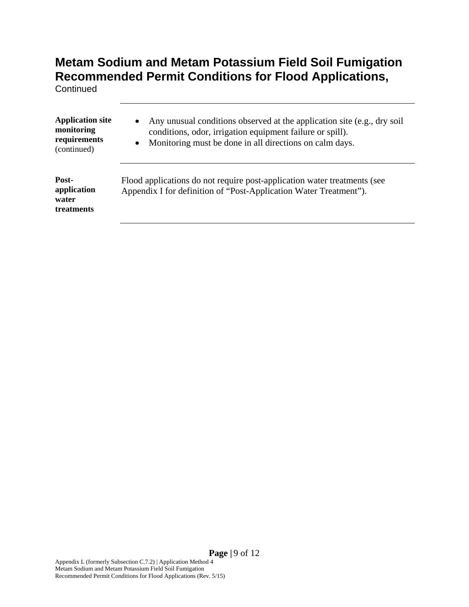**Continued** 

| <b>Application site</b><br>monitoring<br>requirements<br>(continued) | Any unusual conditions observed at the application site (e.g., dry soil<br>$\bullet$<br>conditions, odor, irrigation equipment failure or spill).<br>Monitoring must be done in all directions on calm days.<br>$\bullet$ |
|----------------------------------------------------------------------|---------------------------------------------------------------------------------------------------------------------------------------------------------------------------------------------------------------------------|
| Post-<br>application<br>water<br>treatments                          | Flood applications do not require post-application water treatments (see<br>Appendix I for definition of "Post-Application Water Treatment").                                                                             |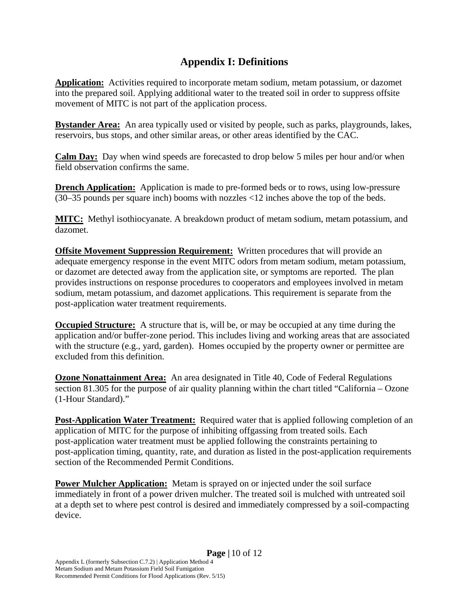### **Appendix I: Definitions**

**Application:** Activities required to incorporate metam sodium, metam potassium, or dazomet into the prepared soil. Applying additional water to the treated soil in order to suppress offsite movement of MITC is not part of the application process.

**Bystander Area:** An area typically used or visited by people, such as parks, playgrounds, lakes, reservoirs, bus stops, and other similar areas, or other areas identified by the CAC.

**Calm Day:** Day when wind speeds are forecasted to drop below 5 miles per hour and/or when field observation confirms the same.

**Drench Application:** Application is made to pre-formed beds or to rows, using low-pressure (30–35 pounds per square inch) booms with nozzles <12 inches above the top of the beds.

**MITC:** Methyl isothiocyanate. A breakdown product of metam sodium, metam potassium, and dazomet.

**Offsite Movement Suppression Requirement:** Written procedures that will provide an adequate emergency response in the event MITC odors from metam sodium, metam potassium, or dazomet are detected away from the application site, or symptoms are reported. The plan provides instructions on response procedures to cooperators and employees involved in metam sodium, metam potassium, and dazomet applications. This requirement is separate from the post-application water treatment requirements.

**Occupied Structure:** A structure that is, will be, or may be occupied at any time during the application and/or buffer-zone period. This includes living and working areas that are associated with the structure (e.g., yard, garden). Homes occupied by the property owner or permittee are excluded from this definition.

**Ozone Nonattainment Area:** An area designated in Title 40, Code of Federal Regulations section 81.305 for the purpose of air quality planning within the chart titled "California – Ozone (1-Hour Standard)."

**Post-Application Water Treatment:** Required water that is applied following completion of an application of MITC for the purpose of inhibiting offgassing from treated soils. Each post-application water treatment must be applied following the constraints pertaining to post-application timing, quantity, rate, and duration as listed in the post-application requirements section of the Recommended Permit Conditions.

**Power Mulcher Application:** Metam is sprayed on or injected under the soil surface immediately in front of a power driven mulcher. The treated soil is mulched with untreated soil at a depth set to where pest control is desired and immediately compressed by a soil-compacting device.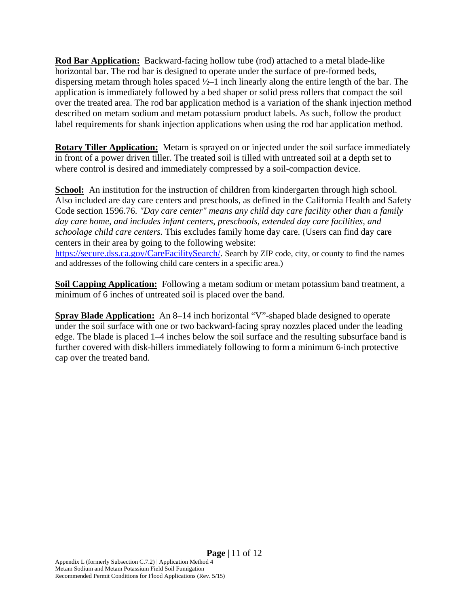**Rod Bar Application:** Backward-facing hollow tube (rod) attached to a metal blade-like horizontal bar. The rod bar is designed to operate under the surface of pre-formed beds, dispersing metam through holes spaced ½–1 inch linearly along the entire length of the bar. The application is immediately followed by a bed shaper or solid press rollers that compact the soil over the treated area. The rod bar application method is a variation of the shank injection method described on metam sodium and metam potassium product labels. As such, follow the product label requirements for shank injection applications when using the rod bar application method.

**Rotary Tiller Application:** Metam is sprayed on or injected under the soil surface immediately in front of a power driven tiller. The treated soil is tilled with untreated soil at a depth set to where control is desired and immediately compressed by a soil-compaction device.

**School:** An institution for the instruction of children from kindergarten through high school. Also included are day care centers and preschools, as defined in the California Health and Safety Code section 1596.76. *"Day care center" means any child day care facility other than a family day care home, and includes infant centers, preschools, extended day care facilities, and schoolage child care centers.* This excludes family home day care. (Users can find day care centers in their area by going to the following website: https://secure.dss.ca.gov/CareFacilitySearch/. Search by ZIP code, city, or county to find the names and addresses of the following child care centers in a specific area.)

**Soil Capping Application:** Following a metam sodium or metam potassium band treatment, a minimum of 6 inches of untreated soil is placed over the band.

**Spray Blade Application:** An 8–14 inch horizontal "V"-shaped blade designed to operate under the soil surface with one or two backward-facing spray nozzles placed under the leading edge. The blade is placed 1–4 inches below the soil surface and the resulting subsurface band is further covered with disk-hillers immediately following to form a minimum 6-inch protective cap over the treated band.